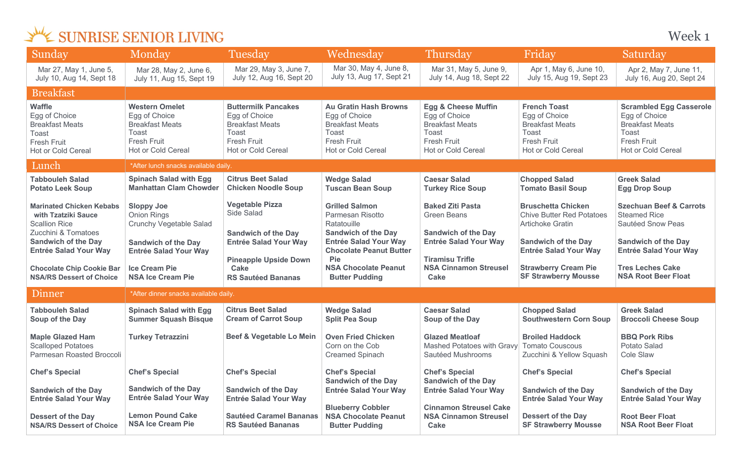| Sunday                                                                                                                                                                                                                                     | Monday                                                                                                                                                                        | Tuesday                                                                                                                                                                 | Wednesday                                                                                                                                                                                                                      | <b>Thursday</b>                                                                                                                                                               | Friday                                                                                                                                                                                                               | Saturday                                                                                                                                                                                              |
|--------------------------------------------------------------------------------------------------------------------------------------------------------------------------------------------------------------------------------------------|-------------------------------------------------------------------------------------------------------------------------------------------------------------------------------|-------------------------------------------------------------------------------------------------------------------------------------------------------------------------|--------------------------------------------------------------------------------------------------------------------------------------------------------------------------------------------------------------------------------|-------------------------------------------------------------------------------------------------------------------------------------------------------------------------------|----------------------------------------------------------------------------------------------------------------------------------------------------------------------------------------------------------------------|-------------------------------------------------------------------------------------------------------------------------------------------------------------------------------------------------------|
| Mar 27, May 1, June 5,<br>July 10, Aug 14, Sept 18                                                                                                                                                                                         | Mar 28, May 2, June 6,<br>July 11, Aug 15, Sept 19                                                                                                                            | Mar 29, May 3, June 7,<br>July 12, Aug 16, Sept 20                                                                                                                      | Mar 30, May 4, June 8,<br>July 13, Aug 17, Sept 21                                                                                                                                                                             | Mar 31, May 5, June 9,<br>July 14, Aug 18, Sept 22                                                                                                                            | Apr 1, May 6, June 10,<br>July 15, Aug 19, Sept 23                                                                                                                                                                   | Apr 2, May 7, June 11,<br>July 16, Aug 20, Sept 24                                                                                                                                                    |
| <b>Breakfast</b>                                                                                                                                                                                                                           |                                                                                                                                                                               |                                                                                                                                                                         |                                                                                                                                                                                                                                |                                                                                                                                                                               |                                                                                                                                                                                                                      |                                                                                                                                                                                                       |
| <b>Waffle</b><br>Egg of Choice<br><b>Breakfast Meats</b><br>Toast<br><b>Fresh Fruit</b><br>Hot or Cold Cereal                                                                                                                              | <b>Western Omelet</b><br>Egg of Choice<br><b>Breakfast Meats</b><br>Toast<br><b>Fresh Fruit</b><br><b>Hot or Cold Cereal</b>                                                  | <b>Buttermilk Pancakes</b><br>Egg of Choice<br><b>Breakfast Meats</b><br>Toast<br><b>Fresh Fruit</b><br><b>Hot or Cold Cereal</b>                                       | <b>Au Gratin Hash Browns</b><br>Egg of Choice<br><b>Breakfast Meats</b><br>Toast<br><b>Fresh Fruit</b><br>Hot or Cold Cereal                                                                                                   | <b>Egg &amp; Cheese Muffin</b><br>Egg of Choice<br><b>Breakfast Meats</b><br>Toast<br>Fresh Fruit<br>Hot or Cold Cereal                                                       | <b>French Toast</b><br>Egg of Choice<br><b>Breakfast Meats</b><br>Toast<br><b>Fresh Fruit</b><br>Hot or Cold Cereal                                                                                                  | <b>Scrambled Egg Casserole</b><br>Egg of Choice<br><b>Breakfast Meats</b><br>Toast<br><b>Fresh Fruit</b><br>Hot or Cold Cereal                                                                        |
| Lunch                                                                                                                                                                                                                                      | *After lunch snacks available daily.                                                                                                                                          |                                                                                                                                                                         |                                                                                                                                                                                                                                |                                                                                                                                                                               |                                                                                                                                                                                                                      |                                                                                                                                                                                                       |
| <b>Tabbouleh Salad</b><br><b>Potato Leek Soup</b>                                                                                                                                                                                          | <b>Spinach Salad with Egg</b><br><b>Manhattan Clam Chowder</b>                                                                                                                | <b>Citrus Beet Salad</b><br><b>Chicken Noodle Soup</b>                                                                                                                  | <b>Wedge Salad</b><br><b>Tuscan Bean Soup</b>                                                                                                                                                                                  | <b>Caesar Salad</b><br><b>Turkey Rice Soup</b>                                                                                                                                | <b>Chopped Salad</b><br><b>Tomato Basil Soup</b>                                                                                                                                                                     | <b>Greek Salad</b><br><b>Egg Drop Soup</b>                                                                                                                                                            |
| <b>Marinated Chicken Kebabs</b><br>with Tzatziki Sauce<br><b>Scallion Rice</b><br>Zucchini & Tomatoes<br><b>Sandwich of the Day</b><br><b>Entrée Salad Your Way</b><br><b>Chocolate Chip Cookie Bar</b><br><b>NSA/RS Dessert of Choice</b> | <b>Sloppy Joe</b><br>Onion Rings<br>Crunchy Vegetable Salad<br><b>Sandwich of the Day</b><br><b>Entrée Salad Your Way</b><br><b>Ice Cream Pie</b><br><b>NSA Ice Cream Pie</b> | <b>Vegetable Pizza</b><br>Side Salad<br><b>Sandwich of the Day</b><br><b>Entrée Salad Your Way</b><br><b>Pineapple Upside Down</b><br>Cake<br><b>RS Sautéed Bananas</b> | <b>Grilled Salmon</b><br>Parmesan Risotto<br>Ratatouille<br><b>Sandwich of the Day</b><br><b>Entrée Salad Your Way</b><br><b>Chocolate Peanut Butter</b><br><b>Pie</b><br><b>NSA Chocolate Peanut</b><br><b>Butter Pudding</b> | <b>Baked Ziti Pasta</b><br><b>Green Beans</b><br><b>Sandwich of the Day</b><br><b>Entrée Salad Your Way</b><br><b>Tiramisu Trifle</b><br><b>NSA Cinnamon Streusel</b><br>Cake | <b>Bruschetta Chicken</b><br><b>Chive Butter Red Potatoes</b><br><b>Artichoke Gratin</b><br><b>Sandwich of the Day</b><br><b>Entrée Salad Your Way</b><br><b>Strawberry Cream Pie</b><br><b>SF Strawberry Mousse</b> | <b>Szechuan Beef &amp; Carrots</b><br><b>Steamed Rice</b><br>Sautéed Snow Peas<br><b>Sandwich of the Day</b><br><b>Entrée Salad Your Way</b><br><b>Tres Leches Cake</b><br><b>NSA Root Beer Float</b> |
| Dinner                                                                                                                                                                                                                                     | *After dinner snacks available daily.                                                                                                                                         |                                                                                                                                                                         |                                                                                                                                                                                                                                |                                                                                                                                                                               |                                                                                                                                                                                                                      |                                                                                                                                                                                                       |
| <b>Tabbouleh Salad</b><br>Soup of the Day                                                                                                                                                                                                  | <b>Spinach Salad with Egg</b><br><b>Summer Squash Bisque</b>                                                                                                                  | <b>Citrus Beet Salad</b><br><b>Cream of Carrot Soup</b>                                                                                                                 | <b>Wedge Salad</b><br><b>Split Pea Soup</b>                                                                                                                                                                                    | <b>Caesar Salad</b><br>Soup of the Day                                                                                                                                        | <b>Chopped Salad</b><br><b>Southwestern Corn Soup</b>                                                                                                                                                                | <b>Greek Salad</b><br><b>Broccoli Cheese Soup</b>                                                                                                                                                     |
| <b>Maple Glazed Ham</b><br><b>Scalloped Potatoes</b><br>Parmesan Roasted Broccoli                                                                                                                                                          | <b>Turkey Tetrazzini</b>                                                                                                                                                      | <b>Beef &amp; Vegetable Lo Mein</b>                                                                                                                                     | <b>Oven Fried Chicken</b><br>Corn on the Cob<br><b>Creamed Spinach</b>                                                                                                                                                         | <b>Glazed Meatloaf</b><br>Mashed Potatoes with Gravy<br>Sautéed Mushrooms                                                                                                     | <b>Broiled Haddock</b><br><b>Tomato Couscous</b><br>Zucchini & Yellow Squash                                                                                                                                         | <b>BBQ Pork Ribs</b><br>Potato Salad<br>Cole Slaw                                                                                                                                                     |
| <b>Chef's Special</b>                                                                                                                                                                                                                      | <b>Chef's Special</b>                                                                                                                                                         | <b>Chef's Special</b>                                                                                                                                                   | <b>Chef's Special</b><br><b>Sandwich of the Day</b>                                                                                                                                                                            | <b>Chef's Special</b><br><b>Sandwich of the Day</b>                                                                                                                           | <b>Chef's Special</b>                                                                                                                                                                                                | <b>Chef's Special</b>                                                                                                                                                                                 |
| <b>Sandwich of the Day</b><br><b>Entrée Salad Your Way</b>                                                                                                                                                                                 | <b>Sandwich of the Day</b><br><b>Entrée Salad Your Way</b>                                                                                                                    | <b>Sandwich of the Day</b><br><b>Entrée Salad Your Way</b>                                                                                                              | <b>Entrée Salad Your Way</b>                                                                                                                                                                                                   | <b>Entrée Salad Your Way</b>                                                                                                                                                  | <b>Sandwich of the Day</b><br><b>Entrée Salad Your Way</b>                                                                                                                                                           | <b>Sandwich of the Day</b><br><b>Entrée Salad Your Way</b>                                                                                                                                            |
| <b>Dessert of the Day</b><br><b>NSA/RS Dessert of Choice</b>                                                                                                                                                                               | <b>Lemon Pound Cake</b><br><b>NSA Ice Cream Pie</b>                                                                                                                           | <b>Sautéed Caramel Bananas</b><br><b>RS Sautéed Bananas</b>                                                                                                             | <b>Blueberry Cobbler</b><br><b>NSA Chocolate Peanut</b><br><b>Butter Pudding</b>                                                                                                                                               | <b>Cinnamon Streusel Cake</b><br><b>NSA Cinnamon Streusel</b><br>Cake                                                                                                         | <b>Dessert of the Day</b><br><b>SF Strawberry Mousse</b>                                                                                                                                                             | <b>Root Beer Float</b><br><b>NSA Root Beer Float</b>                                                                                                                                                  |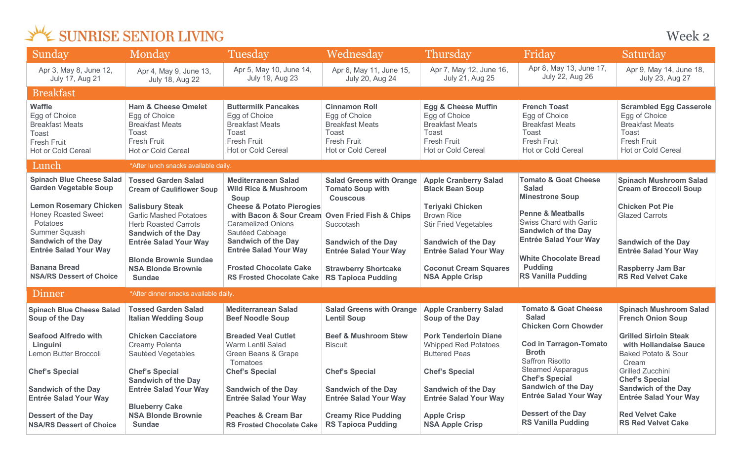| Sunday                                                                                                               | Monday                                                                                                                                | Tuesday                                                                                                                                 | Wednesday                                                                                                                   | <b>Thursday</b>                                                                                                         | Friday                                                                                                              | Saturday                                                                                                                              |
|----------------------------------------------------------------------------------------------------------------------|---------------------------------------------------------------------------------------------------------------------------------------|-----------------------------------------------------------------------------------------------------------------------------------------|-----------------------------------------------------------------------------------------------------------------------------|-------------------------------------------------------------------------------------------------------------------------|---------------------------------------------------------------------------------------------------------------------|---------------------------------------------------------------------------------------------------------------------------------------|
| Apr 3, May 8, June 12,<br><b>July 17, Aug 21</b>                                                                     | Apr 4, May 9, June 13,<br><b>July 18, Aug 22</b>                                                                                      | Apr 5, May 10, June 14,<br><b>July 19, Aug 23</b>                                                                                       | Apr 6, May 11, June 15,<br>July 20, Aug 24                                                                                  | Apr 7, May 12, June 16,<br><b>July 21, Aug 25</b>                                                                       | Apr 8, May 13, June 17,<br>July 22, Aug 26                                                                          | Apr 9, May 14, June 18,<br>July 23, Aug 27                                                                                            |
| <b>Breakfast</b>                                                                                                     |                                                                                                                                       |                                                                                                                                         |                                                                                                                             |                                                                                                                         |                                                                                                                     |                                                                                                                                       |
| <b>Waffle</b><br>Egg of Choice<br><b>Breakfast Meats</b><br>Toast<br><b>Fresh Fruit</b><br><b>Hot or Cold Cereal</b> | <b>Ham &amp; Cheese Omelet</b><br>Egg of Choice<br><b>Breakfast Meats</b><br>Toast<br><b>Fresh Fruit</b><br><b>Hot or Cold Cereal</b> | <b>Buttermilk Pancakes</b><br>Egg of Choice<br><b>Breakfast Meats</b><br>Toast<br><b>Fresh Fruit</b><br>Hot or Cold Cereal              | <b>Cinnamon Roll</b><br>Egg of Choice<br><b>Breakfast Meats</b><br>Toast<br><b>Fresh Fruit</b><br><b>Hot or Cold Cereal</b> | <b>Egg &amp; Cheese Muffin</b><br>Egg of Choice<br><b>Breakfast Meats</b><br>Toast<br>Fresh Fruit<br>Hot or Cold Cereal | <b>French Toast</b><br>Egg of Choice<br><b>Breakfast Meats</b><br>Toast<br><b>Fresh Fruit</b><br>Hot or Cold Cereal | <b>Scrambled Egg Casserole</b><br>Egg of Choice<br><b>Breakfast Meats</b><br><b>Toast</b><br><b>Fresh Fruit</b><br>Hot or Cold Cereal |
| Lunch                                                                                                                | *After lunch snacks available daily.                                                                                                  |                                                                                                                                         |                                                                                                                             |                                                                                                                         |                                                                                                                     |                                                                                                                                       |
| <b>Spinach Blue Cheese Salad</b><br><b>Garden Vegetable Soup</b>                                                     | <b>Tossed Garden Salad</b><br><b>Cream of Cauliflower Soup</b>                                                                        | <b>Mediterranean Salad</b><br><b>Wild Rice &amp; Mushroom</b><br>Soup                                                                   | <b>Salad Greens with Orange</b><br><b>Tomato Soup with</b><br><b>Couscous</b>                                               | <b>Apple Cranberry Salad</b><br><b>Black Bean Soup</b>                                                                  | <b>Tomato &amp; Goat Cheese</b><br><b>Salad</b><br><b>Minestrone Soup</b>                                           | <b>Spinach Mushroom Salad</b><br><b>Cream of Broccoli Soup</b>                                                                        |
| <b>Lemon Rosemary Chicken</b><br><b>Honey Roasted Sweet</b><br>Potatoes<br>Summer Squash                             | <b>Salisbury Steak</b><br><b>Garlic Mashed Potatoes</b><br><b>Herb Roasted Carrots</b><br><b>Sandwich of the Day</b>                  | <b>Cheese &amp; Potato Pierogies</b><br>with Bacon & Sour Cream Oven Fried Fish & Chips<br><b>Caramelized Onions</b><br>Sautéed Cabbage | Succotash                                                                                                                   | <b>Teriyaki Chicken</b><br><b>Brown Rice</b><br><b>Stir Fried Vegetables</b>                                            | <b>Penne &amp; Meatballs</b><br><b>Swiss Chard with Garlic</b><br><b>Sandwich of the Day</b>                        | <b>Chicken Pot Pie</b><br><b>Glazed Carrots</b>                                                                                       |
| <b>Sandwich of the Day</b><br><b>Entrée Salad Your Way</b>                                                           | <b>Entrée Salad Your Way</b>                                                                                                          | <b>Sandwich of the Day</b><br><b>Entrée Salad Your Way</b>                                                                              | <b>Sandwich of the Day</b><br><b>Entrée Salad Your Way</b>                                                                  | <b>Sandwich of the Day</b><br><b>Entrée Salad Your Way</b>                                                              | <b>Entrée Salad Your Way</b>                                                                                        | <b>Sandwich of the Day</b><br><b>Entrée Salad Your Way</b>                                                                            |
| <b>Banana Bread</b><br><b>NSA/RS Dessert of Choice</b>                                                               | <b>Blonde Brownie Sundae</b><br><b>NSA Blonde Brownie</b><br><b>Sundae</b>                                                            | <b>Frosted Chocolate Cake</b><br><b>RS Frosted Chocolate Cake</b>                                                                       | <b>Strawberry Shortcake</b><br><b>RS Tapioca Pudding</b>                                                                    | <b>Coconut Cream Squares</b><br><b>NSA Apple Crisp</b>                                                                  | <b>White Chocolate Bread</b><br><b>Pudding</b><br><b>RS Vanilla Pudding</b>                                         | <b>Raspberry Jam Bar</b><br><b>RS Red Velvet Cake</b>                                                                                 |
| Dinner                                                                                                               | *After dinner snacks available daily.                                                                                                 |                                                                                                                                         |                                                                                                                             |                                                                                                                         |                                                                                                                     |                                                                                                                                       |
| <b>Spinach Blue Cheese Salad</b><br>Soup of the Day                                                                  | <b>Tossed Garden Salad</b><br><b>Italian Wedding Soup</b>                                                                             | <b>Mediterranean Salad</b><br><b>Beef Noodle Soup</b>                                                                                   | <b>Salad Greens with Orange</b><br><b>Lentil Soup</b>                                                                       | <b>Apple Cranberry Salad</b><br>Soup of the Day                                                                         | <b>Tomato &amp; Goat Cheese</b><br><b>Salad</b><br><b>Chicken Corn Chowder</b>                                      | <b>Spinach Mushroom Salad</b><br><b>French Onion Soup</b>                                                                             |
| <b>Seafood Alfredo with</b><br>Linguini<br>Lemon Butter Broccoli                                                     | <b>Chicken Cacciatore</b><br>Creamy Polenta<br>Sautéed Vegetables                                                                     | <b>Breaded Veal Cutlet</b><br>Warm Lentil Salad<br>Green Beans & Grape<br>Tomatoes                                                      | <b>Beef &amp; Mushroom Stew</b><br><b>Biscuit</b>                                                                           | <b>Pork Tenderloin Diane</b><br><b>Whipped Red Potatoes</b><br><b>Buttered Peas</b>                                     | <b>Cod in Tarragon-Tomato</b><br><b>Broth</b><br><b>Saffron Risotto</b>                                             | <b>Grilled Sirloin Steak</b><br>with Hollandaise Sauce<br><b>Baked Potato &amp; Sour</b><br>Cream                                     |
| <b>Chef's Special</b>                                                                                                | <b>Chef's Special</b><br><b>Sandwich of the Day</b>                                                                                   | <b>Chef's Special</b>                                                                                                                   | <b>Chef's Special</b>                                                                                                       | <b>Chef's Special</b>                                                                                                   | <b>Steamed Asparagus</b><br><b>Chef's Special</b>                                                                   | Grilled Zucchini<br><b>Chef's Special</b>                                                                                             |
| <b>Sandwich of the Day</b><br><b>Entrée Salad Your Way</b>                                                           | <b>Entrée Salad Your Way</b><br><b>Blueberry Cake</b>                                                                                 | <b>Sandwich of the Day</b><br><b>Entrée Salad Your Way</b>                                                                              | <b>Sandwich of the Day</b><br><b>Entrée Salad Your Way</b>                                                                  | <b>Sandwich of the Day</b><br><b>Entrée Salad Your Way</b>                                                              | <b>Sandwich of the Day</b><br><b>Entrée Salad Your Way</b>                                                          | <b>Sandwich of the Day</b><br><b>Entrée Salad Your Way</b>                                                                            |
| <b>Dessert of the Day</b><br><b>NSA/RS Dessert of Choice</b>                                                         | <b>NSA Blonde Brownie</b><br><b>Sundae</b>                                                                                            | <b>Peaches &amp; Cream Bar</b><br><b>RS Frosted Chocolate Cake</b>                                                                      | <b>Creamy Rice Pudding</b><br><b>RS Tapioca Pudding</b>                                                                     | <b>Apple Crisp</b><br><b>NSA Apple Crisp</b>                                                                            | <b>Dessert of the Day</b><br><b>RS Vanilla Pudding</b>                                                              | <b>Red Velvet Cake</b><br><b>RS Red Velvet Cake</b>                                                                                   |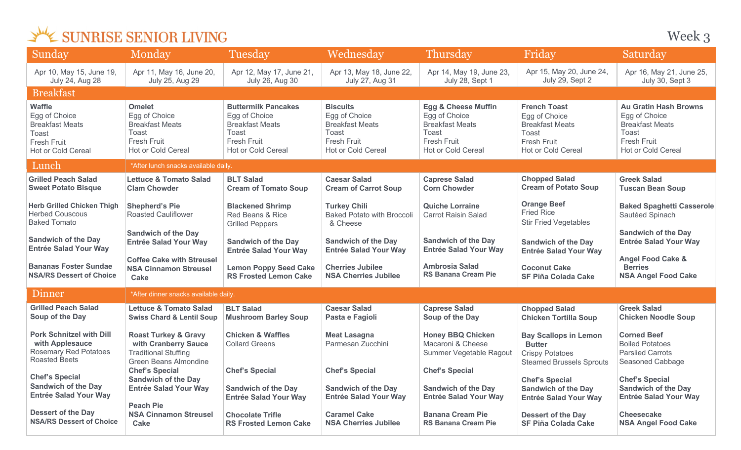Week 3

| Sunday                                                                                                               | Monday                                                                                                                 | <b>Tuesday</b>                                                                                                             | Wednesday                                                                                                       | Thursday                                                                                                                | Friday                                                                                                              | Saturday                                                                                                                     |
|----------------------------------------------------------------------------------------------------------------------|------------------------------------------------------------------------------------------------------------------------|----------------------------------------------------------------------------------------------------------------------------|-----------------------------------------------------------------------------------------------------------------|-------------------------------------------------------------------------------------------------------------------------|---------------------------------------------------------------------------------------------------------------------|------------------------------------------------------------------------------------------------------------------------------|
| Apr 10, May 15, June 19,<br><b>July 24, Aug 28</b>                                                                   | Apr 11, May 16, June 20,<br>July 25, Aug 29                                                                            | Apr 12, May 17, June 21,<br>July 26, Aug 30                                                                                | Apr 13, May 18, June 22,<br>July 27, Aug 31                                                                     | Apr 14, May 19, June 23,<br>July 28, Sept 1                                                                             | Apr 15, May 20, June 24,<br>July 29, Sept 2                                                                         | Apr 16, May 21, June 25,<br>July 30, Sept 3                                                                                  |
| <b>Breakfast</b>                                                                                                     |                                                                                                                        |                                                                                                                            |                                                                                                                 |                                                                                                                         |                                                                                                                     |                                                                                                                              |
| <b>Waffle</b><br>Egg of Choice<br><b>Breakfast Meats</b><br>Toast<br><b>Fresh Fruit</b><br><b>Hot or Cold Cereal</b> | <b>Omelet</b><br>Egg of Choice<br><b>Breakfast Meats</b><br>Toast<br><b>Fresh Fruit</b><br>Hot or Cold Cereal          | <b>Buttermilk Pancakes</b><br>Egg of Choice<br><b>Breakfast Meats</b><br>Toast<br><b>Fresh Fruit</b><br>Hot or Cold Cereal | <b>Biscuits</b><br>Egg of Choice<br><b>Breakfast Meats</b><br>Toast<br><b>Fresh Fruit</b><br>Hot or Cold Cereal | <b>Egg &amp; Cheese Muffin</b><br>Egg of Choice<br><b>Breakfast Meats</b><br>Toast<br>Fresh Fruit<br>Hot or Cold Cereal | <b>French Toast</b><br>Egg of Choice<br><b>Breakfast Meats</b><br>Toast<br><b>Fresh Fruit</b><br>Hot or Cold Cereal | <b>Au Gratin Hash Browns</b><br>Egg of Choice<br><b>Breakfast Meats</b><br>Toast<br><b>Fresh Fruit</b><br>Hot or Cold Cereal |
| Lunch                                                                                                                | *After lunch snacks available daily.                                                                                   |                                                                                                                            |                                                                                                                 |                                                                                                                         |                                                                                                                     |                                                                                                                              |
| <b>Grilled Peach Salad</b><br><b>Sweet Potato Bisque</b>                                                             | <b>Lettuce &amp; Tomato Salad</b><br><b>Clam Chowder</b>                                                               | <b>BLT Salad</b><br><b>Cream of Tomato Soup</b>                                                                            | <b>Caesar Salad</b><br><b>Cream of Carrot Soup</b>                                                              | <b>Caprese Salad</b><br><b>Corn Chowder</b>                                                                             | <b>Chopped Salad</b><br><b>Cream of Potato Soup</b>                                                                 | <b>Greek Salad</b><br><b>Tuscan Bean Soup</b>                                                                                |
| <b>Herb Grilled Chicken Thigh</b><br><b>Herbed Couscous</b><br><b>Baked Tomato</b>                                   | <b>Shepherd's Pie</b><br><b>Roasted Cauliflower</b><br><b>Sandwich of the Day</b>                                      | <b>Blackened Shrimp</b><br>Red Beans & Rice<br><b>Grilled Peppers</b>                                                      | <b>Turkey Chili</b><br><b>Baked Potato with Broccoli</b><br>& Cheese                                            | <b>Quiche Lorraine</b><br><b>Carrot Raisin Salad</b>                                                                    | <b>Orange Beef</b><br><b>Fried Rice</b><br><b>Stir Fried Vegetables</b>                                             | <b>Baked Spaghetti Casserole</b><br>Sautéed Spinach<br><b>Sandwich of the Day</b>                                            |
| <b>Sandwich of the Day</b><br><b>Entrée Salad Your Way</b>                                                           | <b>Entrée Salad Your Way</b>                                                                                           | <b>Sandwich of the Day</b><br><b>Entrée Salad Your Way</b>                                                                 | <b>Sandwich of the Day</b><br><b>Entrée Salad Your Way</b>                                                      | <b>Sandwich of the Day</b><br><b>Entrée Salad Your Way</b>                                                              | <b>Sandwich of the Day</b><br><b>Entrée Salad Your Way</b>                                                          | <b>Entrée Salad Your Way</b>                                                                                                 |
| <b>Bananas Foster Sundae</b><br><b>NSA/RS Dessert of Choice</b>                                                      | <b>Coffee Cake with Streusel</b><br><b>NSA Cinnamon Streusel</b><br><b>Cake</b>                                        | <b>Lemon Poppy Seed Cake</b><br><b>RS Frosted Lemon Cake</b>                                                               | <b>Cherries Jubilee</b><br><b>NSA Cherries Jubilee</b>                                                          | <b>Ambrosia Salad</b><br><b>RS Banana Cream Pie</b>                                                                     | <b>Coconut Cake</b><br><b>SF Piña Colada Cake</b>                                                                   | <b>Angel Food Cake &amp;</b><br><b>Berries</b><br><b>NSA Angel Food Cake</b>                                                 |
| Dinner                                                                                                               | *After dinner snacks available daily.                                                                                  |                                                                                                                            |                                                                                                                 |                                                                                                                         |                                                                                                                     |                                                                                                                              |
| <b>Grilled Peach Salad</b><br>Soup of the Day                                                                        | <b>Lettuce &amp; Tomato Salad</b><br><b>Swiss Chard &amp; Lentil Soup</b>                                              | <b>BLT Salad</b><br><b>Mushroom Barley Soup</b>                                                                            | <b>Caesar Salad</b><br>Pasta e Fagioli                                                                          | <b>Caprese Salad</b><br>Soup of the Day                                                                                 | <b>Chopped Salad</b><br><b>Chicken Tortilla Soup</b>                                                                | <b>Greek Salad</b><br><b>Chicken Noodle Soup</b>                                                                             |
| <b>Pork Schnitzel with Dill</b><br>with Applesauce<br><b>Rosemary Red Potatoes</b><br><b>Roasted Beets</b>           | <b>Roast Turkey &amp; Gravy</b><br>with Cranberry Sauce<br><b>Traditional Stuffing</b><br><b>Green Beans Almondine</b> | <b>Chicken &amp; Waffles</b><br><b>Collard Greens</b>                                                                      | <b>Meat Lasagna</b><br>Parmesan Zucchini                                                                        | <b>Honey BBQ Chicken</b><br>Macaroni & Cheese<br>Summer Vegetable Ragout                                                | <b>Bay Scallops in Lemon</b><br><b>Butter</b><br><b>Crispy Potatoes</b><br><b>Steamed Brussels Sprouts</b>          | <b>Corned Beef</b><br><b>Boiled Potatoes</b><br><b>Parslied Carrots</b><br>Seasoned Cabbage                                  |
| <b>Chef's Special</b>                                                                                                | <b>Chef's Special</b>                                                                                                  | <b>Chef's Special</b>                                                                                                      | <b>Chef's Special</b>                                                                                           | <b>Chef's Special</b>                                                                                                   |                                                                                                                     |                                                                                                                              |
| <b>Sandwich of the Day</b><br><b>Entrée Salad Your Way</b>                                                           | <b>Sandwich of the Day</b><br><b>Entrée Salad Your Way</b><br><b>Peach Pie</b>                                         | <b>Sandwich of the Day</b><br><b>Entrée Salad Your Way</b>                                                                 | <b>Sandwich of the Day</b><br><b>Entrée Salad Your Way</b>                                                      | <b>Sandwich of the Day</b><br><b>Entrée Salad Your Way</b>                                                              | <b>Chef's Special</b><br><b>Sandwich of the Day</b><br><b>Entrée Salad Your Way</b>                                 | <b>Chef's Special</b><br><b>Sandwich of the Day</b><br><b>Entrée Salad Your Way</b>                                          |
| <b>Dessert of the Day</b><br><b>NSA/RS Dessert of Choice</b>                                                         | <b>NSA Cinnamon Streusel</b><br><b>Cake</b>                                                                            | <b>Chocolate Trifle</b><br><b>RS Frosted Lemon Cake</b>                                                                    | <b>Caramel Cake</b><br><b>NSA Cherries Jubilee</b>                                                              | <b>Banana Cream Pie</b><br><b>RS Banana Cream Pie</b>                                                                   | <b>Dessert of the Day</b><br><b>SF Piña Colada Cake</b>                                                             | <b>Cheesecake</b><br><b>NSA Angel Food Cake</b>                                                                              |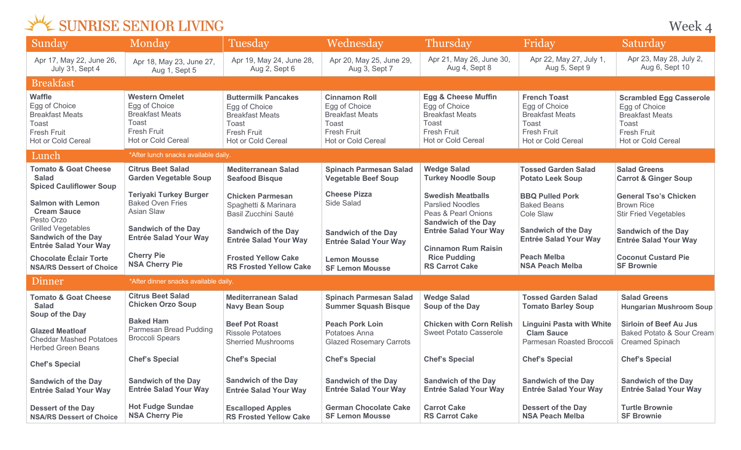| Sunday                                                                                                                  | Monday                                                                                                                               | <b>Tuesday</b>                                                                                                             | Wednesday                                                                                                                   | <b>Thursday</b>                                                                                                                          | Friday                                                                                                              | Saturday                                                                                                                       |  |
|-------------------------------------------------------------------------------------------------------------------------|--------------------------------------------------------------------------------------------------------------------------------------|----------------------------------------------------------------------------------------------------------------------------|-----------------------------------------------------------------------------------------------------------------------------|------------------------------------------------------------------------------------------------------------------------------------------|---------------------------------------------------------------------------------------------------------------------|--------------------------------------------------------------------------------------------------------------------------------|--|
| Apr 17, May 22, June 26,<br>July 31, Sept 4                                                                             | Apr 18, May 23, June 27,<br>Aug 1, Sept 5                                                                                            | Apr 19, May 24, June 28,<br>Aug 2, Sept 6                                                                                  | Apr 20, May 25, June 29,<br>Aug 3, Sept 7                                                                                   | Apr 21, May 26, June 30,<br>Aug 4, Sept 8                                                                                                | Apr 22, May 27, July 1,<br>Aug 5, Sept 9                                                                            | Apr 23, May 28, July 2,<br>Aug 6, Sept 10                                                                                      |  |
| <b>Breakfast</b>                                                                                                        |                                                                                                                                      |                                                                                                                            |                                                                                                                             |                                                                                                                                          |                                                                                                                     |                                                                                                                                |  |
| <b>Waffle</b><br>Egg of Choice<br><b>Breakfast Meats</b><br>Toast<br><b>Fresh Fruit</b><br>Hot or Cold Cereal           | <b>Western Omelet</b><br>Egg of Choice<br><b>Breakfast Meats</b><br>Toast<br><b>Fresh Fruit</b><br><b>Hot or Cold Cereal</b>         | <b>Buttermilk Pancakes</b><br>Egg of Choice<br><b>Breakfast Meats</b><br>Toast<br><b>Fresh Fruit</b><br>Hot or Cold Cereal | <b>Cinnamon Roll</b><br>Egg of Choice<br><b>Breakfast Meats</b><br>Toast<br><b>Fresh Fruit</b><br><b>Hot or Cold Cereal</b> | <b>Egg &amp; Cheese Muffin</b><br>Egg of Choice<br><b>Breakfast Meats</b><br>Toast<br>Fresh Fruit<br>Hot or Cold Cereal                  | <b>French Toast</b><br>Egg of Choice<br><b>Breakfast Meats</b><br>Toast<br><b>Fresh Fruit</b><br>Hot or Cold Cereal | <b>Scrambled Egg Casserole</b><br>Egg of Choice<br><b>Breakfast Meats</b><br>Toast<br><b>Fresh Fruit</b><br>Hot or Cold Cereal |  |
| Lunch                                                                                                                   | *After lunch snacks available daily.                                                                                                 |                                                                                                                            |                                                                                                                             |                                                                                                                                          |                                                                                                                     |                                                                                                                                |  |
| <b>Tomato &amp; Goat Cheese</b><br><b>Salad</b><br><b>Spiced Cauliflower Soup</b>                                       | <b>Citrus Beet Salad</b><br><b>Garden Vegetable Soup</b>                                                                             | <b>Mediterranean Salad</b><br><b>Seafood Bisque</b>                                                                        | <b>Spinach Parmesan Salad</b><br><b>Vegetable Beef Soup</b>                                                                 | <b>Wedge Salad</b><br><b>Turkey Noodle Soup</b>                                                                                          | <b>Tossed Garden Salad</b><br><b>Potato Leek Soup</b>                                                               | <b>Salad Greens</b><br><b>Carrot &amp; Ginger Soup</b>                                                                         |  |
| <b>Salmon with Lemon</b><br><b>Cream Sauce</b><br>Pesto Orzo<br><b>Grilled Vegetables</b><br><b>Sandwich of the Day</b> | <b>Teriyaki Turkey Burger</b><br><b>Baked Oven Fries</b><br>Asian Slaw<br><b>Sandwich of the Day</b><br><b>Entrée Salad Your Way</b> | <b>Chicken Parmesan</b><br>Spaghetti & Marinara<br>Basil Zucchini Sauté<br><b>Sandwich of the Day</b>                      | <b>Cheese Pizza</b><br>Side Salad<br><b>Sandwich of the Day</b>                                                             | <b>Swedish Meatballs</b><br><b>Parslied Noodles</b><br>Peas & Pearl Onions<br><b>Sandwich of the Day</b><br><b>Entrée Salad Your Way</b> | <b>BBQ Pulled Pork</b><br><b>Baked Beans</b><br>Cole Slaw<br><b>Sandwich of the Day</b>                             | <b>General Tso's Chicken</b><br><b>Brown Rice</b><br><b>Stir Fried Vegetables</b><br><b>Sandwich of the Day</b>                |  |
| <b>Entrée Salad Your Way</b>                                                                                            |                                                                                                                                      | <b>Entrée Salad Your Way</b>                                                                                               | <b>Entrée Salad Your Way</b>                                                                                                | <b>Cinnamon Rum Raisin</b>                                                                                                               | <b>Entrée Salad Your Way</b>                                                                                        | <b>Entrée Salad Your Way</b>                                                                                                   |  |
| <b>Chocolate Éclair Torte</b><br><b>NSA/RS Dessert of Choice</b>                                                        | <b>Cherry Pie</b><br><b>NSA Cherry Pie</b>                                                                                           | <b>Frosted Yellow Cake</b><br><b>RS Frosted Yellow Cake</b>                                                                | <b>Lemon Mousse</b><br><b>SF Lemon Mousse</b>                                                                               | <b>Rice Pudding</b><br><b>RS Carrot Cake</b>                                                                                             | <b>Peach Melba</b><br><b>NSA Peach Melba</b>                                                                        | <b>Coconut Custard Pie</b><br><b>SF Brownie</b>                                                                                |  |
| Dinner                                                                                                                  | *After dinner snacks available daily.                                                                                                |                                                                                                                            |                                                                                                                             |                                                                                                                                          |                                                                                                                     |                                                                                                                                |  |
| <b>Tomato &amp; Goat Cheese</b><br><b>Salad</b><br>Soup of the Day                                                      | <b>Citrus Beet Salad</b><br><b>Chicken Orzo Soup</b>                                                                                 | <b>Mediterranean Salad</b><br><b>Navy Bean Soup</b>                                                                        | <b>Spinach Parmesan Salad</b><br><b>Summer Squash Bisque</b>                                                                | <b>Wedge Salad</b><br>Soup of the Day                                                                                                    | <b>Tossed Garden Salad</b><br><b>Tomato Barley Soup</b>                                                             | <b>Salad Greens</b><br><b>Hungarian Mushroom Soup</b>                                                                          |  |
| <b>Glazed Meatloaf</b><br><b>Cheddar Mashed Potatoes</b><br><b>Herbed Green Beans</b>                                   | <b>Baked Ham</b><br>Parmesan Bread Pudding<br><b>Broccoli Spears</b>                                                                 | <b>Beef Pot Roast</b><br><b>Rissole Potatoes</b><br><b>Sherried Mushrooms</b>                                              | <b>Peach Pork Loin</b><br>Potatoes Anna<br><b>Glazed Rosemary Carrots</b>                                                   | <b>Chicken with Corn Relish</b><br><b>Sweet Potato Casserole</b>                                                                         | <b>Linguini Pasta with White</b><br><b>Clam Sauce</b><br>Parmesan Roasted Broccoli                                  | <b>Sirloin of Beef Au Jus</b><br>Baked Potato & Sour Cream<br><b>Creamed Spinach</b>                                           |  |
| <b>Chef's Special</b>                                                                                                   | <b>Chef's Special</b>                                                                                                                | <b>Chef's Special</b>                                                                                                      | <b>Chef's Special</b>                                                                                                       | <b>Chef's Special</b>                                                                                                                    | <b>Chef's Special</b>                                                                                               | <b>Chef's Special</b>                                                                                                          |  |
| <b>Sandwich of the Day</b><br><b>Entrée Salad Your Way</b>                                                              | <b>Sandwich of the Day</b><br><b>Entrée Salad Your Way</b>                                                                           | <b>Sandwich of the Day</b><br><b>Entrée Salad Your Way</b>                                                                 | <b>Sandwich of the Day</b><br><b>Entrée Salad Your Way</b>                                                                  | <b>Sandwich of the Day</b><br><b>Entrée Salad Your Way</b>                                                                               | <b>Sandwich of the Day</b><br><b>Entrée Salad Your Way</b>                                                          | <b>Sandwich of the Day</b><br><b>Entrée Salad Your Way</b>                                                                     |  |
| <b>Dessert of the Day</b><br><b>NSA/RS Dessert of Choice</b>                                                            | <b>Hot Fudge Sundae</b><br><b>NSA Cherry Pie</b>                                                                                     | <b>Escalloped Apples</b><br><b>RS Frosted Yellow Cake</b>                                                                  | <b>German Chocolate Cake</b><br><b>SF Lemon Mousse</b>                                                                      | <b>Carrot Cake</b><br><b>RS Carrot Cake</b>                                                                                              | <b>Dessert of the Day</b><br><b>NSA Peach Melba</b>                                                                 | <b>Turtle Brownie</b><br><b>SF Brownie</b>                                                                                     |  |